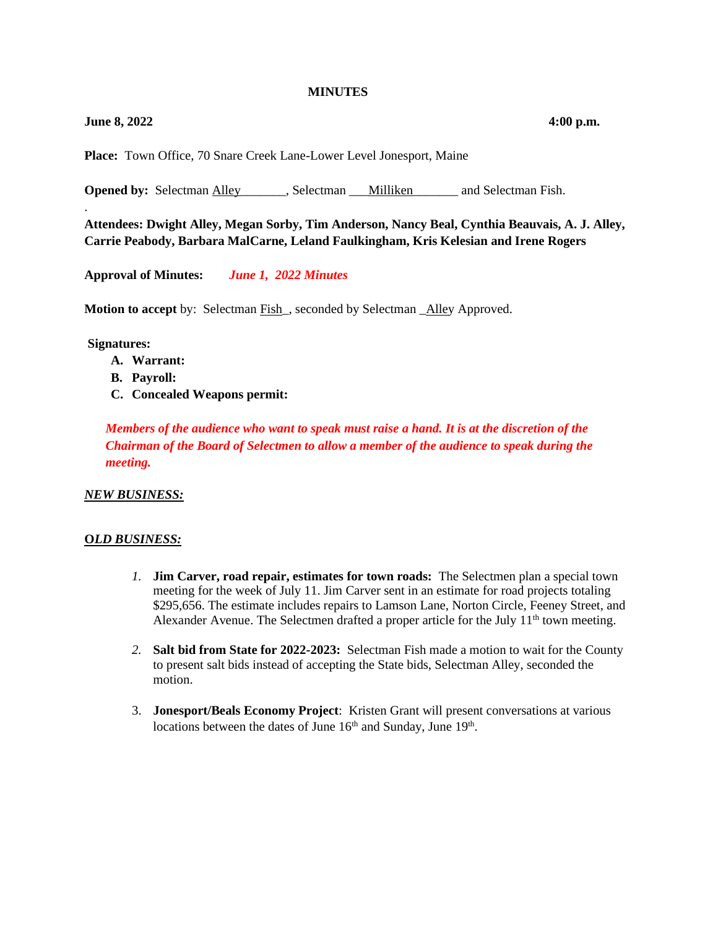#### **MINUTES**

## **June 8, 2022 4:00 p.m.**

.

**Place:** Town Office, 70 Snare Creek Lane-Lower Level Jonesport, Maine

**Opened by:** Selectman Alley Selectman Selectman Lilliken and Selectman Fish.

**Attendees: Dwight Alley, Megan Sorby, Tim Anderson, Nancy Beal, Cynthia Beauvais, A. J. Alley, Carrie Peabody, Barbara MalCarne, Leland Faulkingham, Kris Kelesian and Irene Rogers**

**Approval of Minutes:** *June 1, 2022 Minutes*

**Motion to accept** by: Selectman Fish\_, seconded by Selectman \_Alley Approved.

**Signatures:** 

- **A. Warrant:**
- **B. Payroll:**
- **C. Concealed Weapons permit:**

*Members of the audience who want to speak must raise a hand. It is at the discretion of the Chairman of the Board of Selectmen to allow a member of the audience to speak during the meeting.*

### *NEW BUSINESS:*

### **O***LD BUSINESS:*

- *1.* **Jim Carver, road repair, estimates for town roads:** The Selectmen plan a special town meeting for the week of July 11. Jim Carver sent in an estimate for road projects totaling \$295,656. The estimate includes repairs to Lamson Lane, Norton Circle, Feeney Street, and Alexander Avenue. The Selectmen drafted a proper article for the July  $11<sup>th</sup>$  town meeting.
- *2.* **Salt bid from State for 2022-2023:** Selectman Fish made a motion to wait for the County to present salt bids instead of accepting the State bids, Selectman Alley, seconded the motion.
- 3. **Jonesport/Beals Economy Project**: Kristen Grant will present conversations at various locations between the dates of June  $16<sup>th</sup>$  and Sunday, June  $19<sup>th</sup>$ .